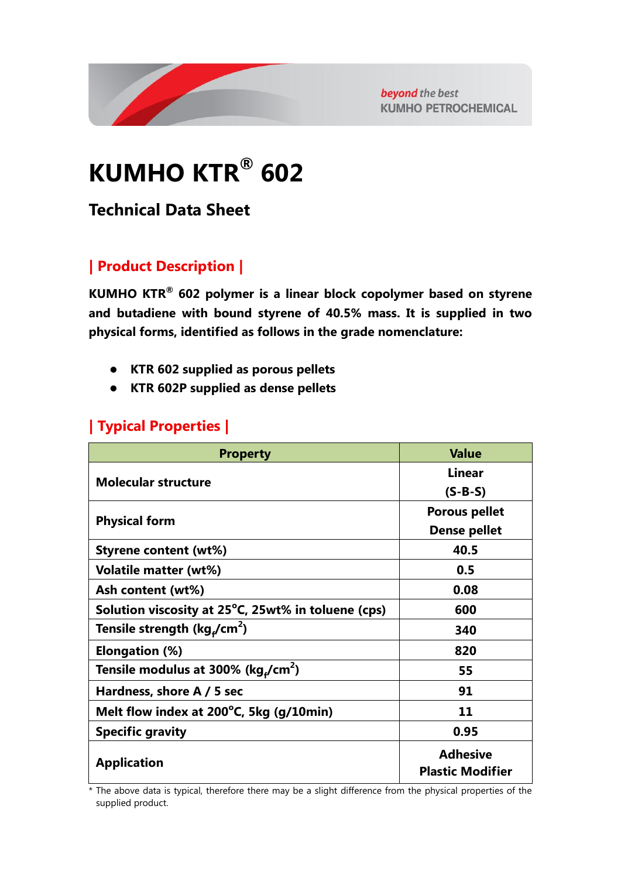

beyond the best **KUMHO PETROCHEMICAL** 

# **KUMHO KTR® 602**

# **Technical Data Sheet**

## **| Product Description |**

**KUMHO KTR® 602 polymer is a linear block copolymer based on styrene and butadiene with bound styrene of 40.5% mass. It is supplied in two physical forms, identified as follows in the grade nomenclature:**

- **KTR 602 supplied as porous pellets**
- **KTR 602P supplied as dense pellets**

#### **| Typical Properties |**

| <b>Property</b>                                      | <b>Value</b>                               |
|------------------------------------------------------|--------------------------------------------|
|                                                      | <b>Linear</b>                              |
| <b>Molecular structure</b>                           | $(S-B-S)$                                  |
|                                                      | <b>Porous pellet</b>                       |
| <b>Physical form</b>                                 | <b>Dense pellet</b>                        |
| <b>Styrene content (wt%)</b>                         | 40.5                                       |
| <b>Volatile matter (wt%)</b>                         | 0.5                                        |
| Ash content (wt%)                                    | 0.08                                       |
| Solution viscosity at 25°C, 25wt% in toluene (cps)   | 600                                        |
| Tensile strength (kg <sub>r</sub> /cm <sup>2</sup> ) | 340                                        |
| Elongation (%)                                       | 820                                        |
| Tensile modulus at 300% (kg,/cm <sup>2</sup> )       | 55                                         |
| Hardness, shore A / 5 sec                            | 91                                         |
| Melt flow index at 200°C, 5kg (g/10min)              | 11                                         |
| <b>Specific gravity</b>                              | 0.95                                       |
| <b>Application</b>                                   | <b>Adhesive</b><br><b>Plastic Modifier</b> |

\* The above data is typical, therefore there may be a slight difference from the physical properties of the supplied product.